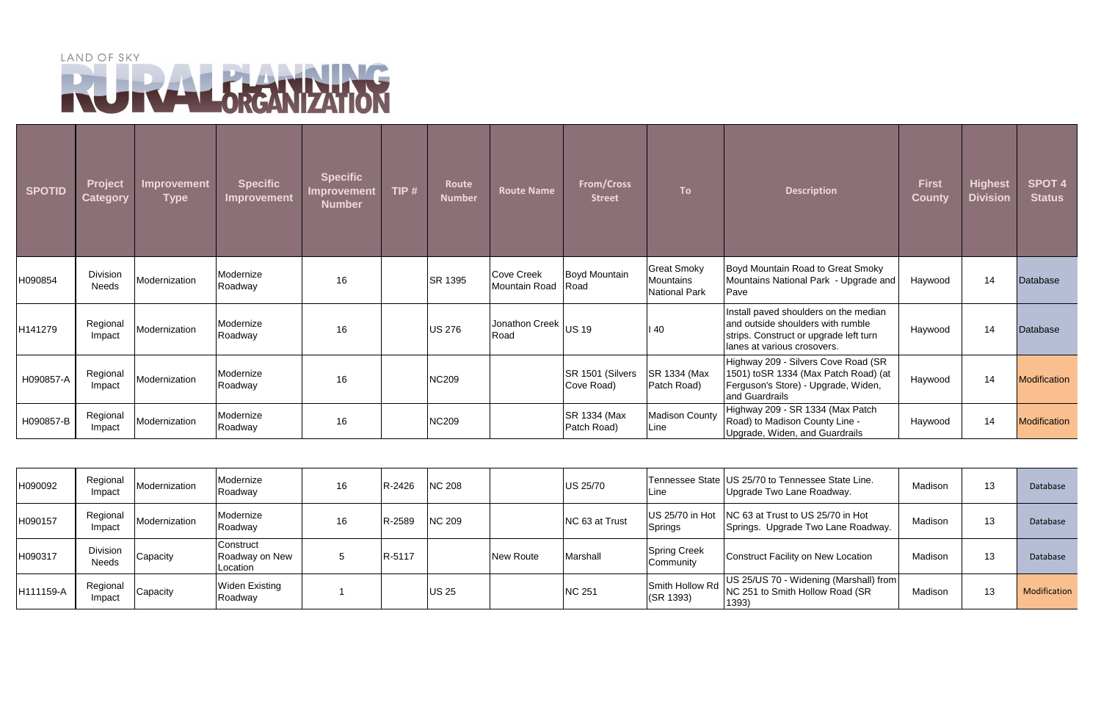## LAND OF SKY

| <b>SPOTID</b> | Project<br><b>Category</b> | Improvement<br>Type | <b>Specific</b><br>Improvement | <b>Specific</b><br>Improvement<br><b>Number</b> | TIP $#$ | Route<br><b>Number</b> | <b>Route Name</b>            | <b>From/Cross</b><br><b>Street</b> | <b>To</b>                                               | <b>Description</b>                                                                                                                                  | <b>First</b><br><b>County</b> | <b>Highest</b><br><b>Division</b> | <b>SPOT 4</b><br><b>Status</b> |
|---------------|----------------------------|---------------------|--------------------------------|-------------------------------------------------|---------|------------------------|------------------------------|------------------------------------|---------------------------------------------------------|-----------------------------------------------------------------------------------------------------------------------------------------------------|-------------------------------|-----------------------------------|--------------------------------|
| H090854       | Division<br>Needs          | Modernization       | Modernize<br>Roadway           | 16                                              |         | SR 1395                | Cove Creek<br>Mountain Road  | Boyd Mountain<br>Road              | <b>Great Smoky</b><br>Mountains<br><b>National Park</b> | Boyd Mountain Road to Great Smoky<br>Mountains National Park - Upgrade and<br>Pave                                                                  | Haywood                       | 14                                | Database                       |
| H141279       | Regional<br>Impact         | Modernization       | Modernize<br>Roadway           | 16                                              |         | <b>US 276</b>          | Jonathon Creek US 19<br>Road |                                    | 140                                                     | Install paved shoulders on the median<br>and outside shoulders with rumble<br>strips. Construct or upgrade left turn<br>lanes at various crosovers. | Haywood                       | 14                                | <b>Database</b>                |
| H090857-A     | Regional<br>Impact         | Modernization       | Modernize<br>Roadway           | 16                                              |         | <b>NC209</b>           |                              | SR 1501 (Silvers<br>Cove Road)     | SR 1334 (Max<br>Patch Road)                             | Highway 209 - Silvers Cove Road (SR<br>1501) toSR 1334 (Max Patch Road) (at<br>Ferguson's Store) - Upgrade, Widen,<br>and Guardrails                | Haywood                       | 14                                | Modification                   |
| H090857-B     | Regional<br>Impact         | Modernization       | Modernize<br>Roadway           | 16                                              |         | <b>NC209</b>           |                              | SR 1334 (Max<br>Patch Road)        | <b>Madison County</b><br>Line                           | Highway 209 - SR 1334 (Max Patch<br>Road) to Madison County Line -<br>Upgrade, Widen, and Guardrails                                                | Haywood                       | 14                                | Modification                   |

| H090092   | Regional<br>Impact       | Modernization | Modernize<br>Roadway                    | 16 | R-2426 | <b>NC 208</b> |                  | <b>US 25/70</b> | Line                             | Tennessee State   US 25/70 to Tennessee State Line.<br>Upgrade Two Lane Roadway.          | Madison<br>13  | Database     |
|-----------|--------------------------|---------------|-----------------------------------------|----|--------|---------------|------------------|-----------------|----------------------------------|-------------------------------------------------------------------------------------------|----------------|--------------|
| H090157   | Regional<br>Impact       | Modernization | Modernize<br>Roadway                    | 16 | R-2589 | <b>NC 209</b> |                  | NC 63 at Trust  | <b>Springs</b>                   | US 25/70 in Hot   NC 63 at Trust to US 25/70 in Hot<br>Springs. Upgrade Two Lane Roadway. | Madison<br>د ا | Database     |
| H090317   | <b>Division</b><br>Needs | Capacity      | Construct<br>Roadway on New<br>Location |    | R-5117 |               | <b>New Route</b> | Marshall        | <b>Spring Creek</b><br>Community | <b>Construct Facility on New Location</b>                                                 | Madison<br>د ا | Database     |
| H111159-A | Regional<br>Impact       | Capacity      | <b>Widen Existing</b><br>Roadway        |    |        | <b>US 25</b>  |                  | <b>NC 251</b>   | Smith Hollow Rd<br>(SR 1393)     | US 25/US 70 - Widening (Marshall) from<br>NC 251 to Smith Hollow Road (SR<br>1393)        | Madison<br>ں ا | Modification |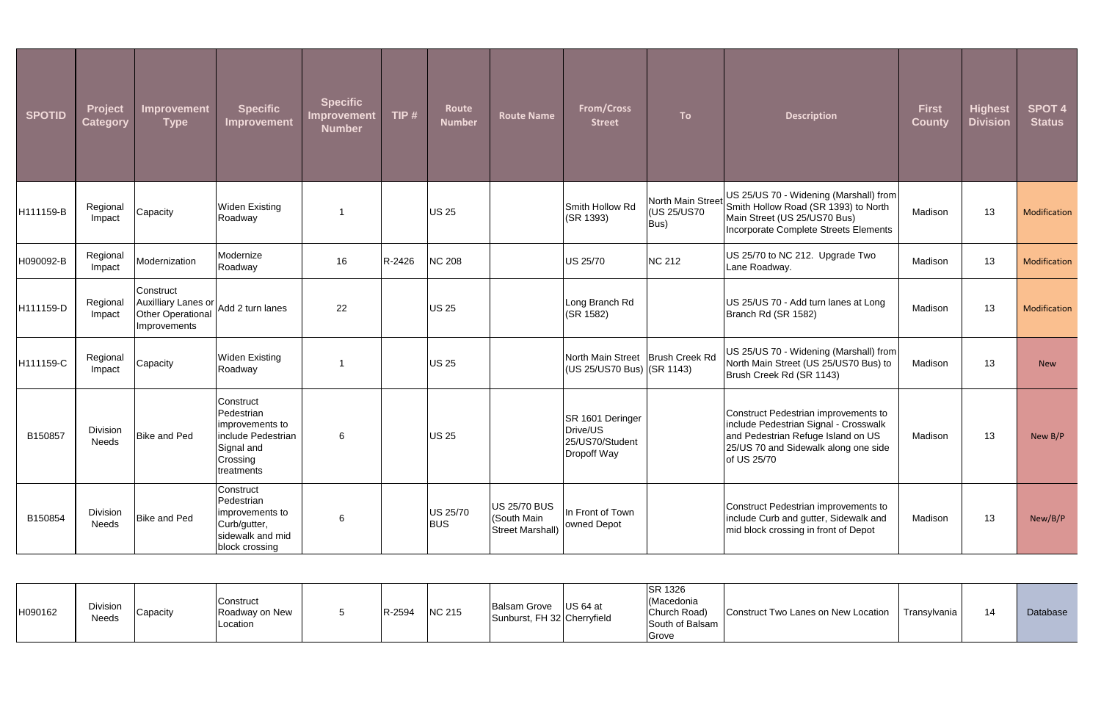| <b>SPOTID</b> | <b>Project</b><br><b>Category</b> | Improvement<br><b>Type</b>                                                             | <b>Specific</b><br>Improvement                                                                           | <b>Specific</b><br><b>Improvement</b><br><b>Number</b> | TIP #  | Route<br><b>Number</b> | <b>Route Name</b>                                             | <b>From/Cross</b><br><b>Street</b>                             | <b>To</b>                                | <b>Description</b>                                                                                                                                                         | <b>First</b><br><b>County</b> | <b>Highest</b><br><b>Division</b> | <b>SPOT 4</b><br><b>Status</b> |
|---------------|-----------------------------------|----------------------------------------------------------------------------------------|----------------------------------------------------------------------------------------------------------|--------------------------------------------------------|--------|------------------------|---------------------------------------------------------------|----------------------------------------------------------------|------------------------------------------|----------------------------------------------------------------------------------------------------------------------------------------------------------------------------|-------------------------------|-----------------------------------|--------------------------------|
| H111159-B     | Regional<br>Impact                | Capacity                                                                               | <b>Widen Existing</b><br>Roadway                                                                         |                                                        |        | US 25                  |                                                               | Smith Hollow Rd<br>(SR 1393)                                   | North Main Street<br>(US 25/US70<br>Bus) | US 25/US 70 - Widening (Marshall) from<br>Smith Hollow Road (SR 1393) to North<br>Main Street (US 25/US70 Bus)<br>Incorporate Complete Streets Elements                    | Madison                       | 13                                | Modification                   |
| H090092-B     | Regional<br>Impact                | Modernization                                                                          | Modernize<br>Roadway                                                                                     | 16                                                     | R-2426 | <b>NC 208</b>          |                                                               | <b>US 25/70</b>                                                | <b>NC 212</b>                            | US 25/70 to NC 212. Upgrade Two<br>Lane Roadway.                                                                                                                           | Madison                       | 13                                | Modification                   |
| H111159-D     | Regional<br>Impact                | Construct<br>Auxilliary Lanes or Add 2 turn lanes<br>Other Operational<br>Improvements |                                                                                                          | 22                                                     |        | <b>US 25</b>           |                                                               | Long Branch Rd<br>(SR 1582)                                    |                                          | US 25/US 70 - Add turn lanes at Long<br>Branch Rd (SR 1582)                                                                                                                | Madison                       | 13                                | Modification                   |
| H111159-C     | Regional<br>Impact                | Capacity                                                                               | <b>Widen Existing</b><br>Roadway                                                                         |                                                        |        | <b>US 25</b>           |                                                               | North Main Street<br>(US 25/US70 Bus) (SR 1143)                | Brush Creek Rd                           | US 25/US 70 - Widening (Marshall) from<br>North Main Street (US 25/US70 Bus) to<br>Brush Creek Rd (SR 1143)                                                                | Madison                       | 13                                | <b>New</b>                     |
| B150857       | Division<br>Needs                 | <b>Bike and Ped</b>                                                                    | Construct<br>Pedestrian<br>improvements to<br>include Pedestrian<br>Signal and<br>Crossing<br>treatments | 6                                                      |        | <b>US 25</b>           |                                                               | SR 1601 Deringer<br>Drive/US<br>25/US70/Student<br>Dropoff Way |                                          | Construct Pedestrian improvements to<br>include Pedestrian Signal - Crosswalk<br>and Pedestrian Refuge Island on US<br>25/US 70 and Sidewalk along one side<br>of US 25/70 | Madison                       | 13                                | New B/P                        |
| B150854       | Division<br>Needs                 | Bike and Ped                                                                           | Construct<br>Pedestrian<br>improvements to<br>Curb/gutter,<br>sidewalk and mid<br>block crossing         | 6                                                      |        | US 25/70<br><b>BUS</b> | <b>US 25/70 BUS</b><br>(South Main<br><b>Street Marshall)</b> | In Front of Town<br>owned Depot                                |                                          | Construct Pedestrian improvements to<br>include Curb and gutter, Sidewalk and<br>mid block crossing in front of Depot                                                      | Madison                       | 13                                | New/B/P                        |

| H090162 | Division<br>Needs | Capacity | Construct<br>Roadway on New<br>Location |  | R-2594 | <b>NC 215</b> | $US 64$ at<br><b>Balsam Grove</b><br>Sunburst, FH 32 Cherryfield | <b>SR 1326</b><br>(Macedonia<br>Church Road)<br>South of Balsam<br>Grove | Construct Two Lanes on New Location | Transylvania | 14 | Database |
|---------|-------------------|----------|-----------------------------------------|--|--------|---------------|------------------------------------------------------------------|--------------------------------------------------------------------------|-------------------------------------|--------------|----|----------|
|---------|-------------------|----------|-----------------------------------------|--|--------|---------------|------------------------------------------------------------------|--------------------------------------------------------------------------|-------------------------------------|--------------|----|----------|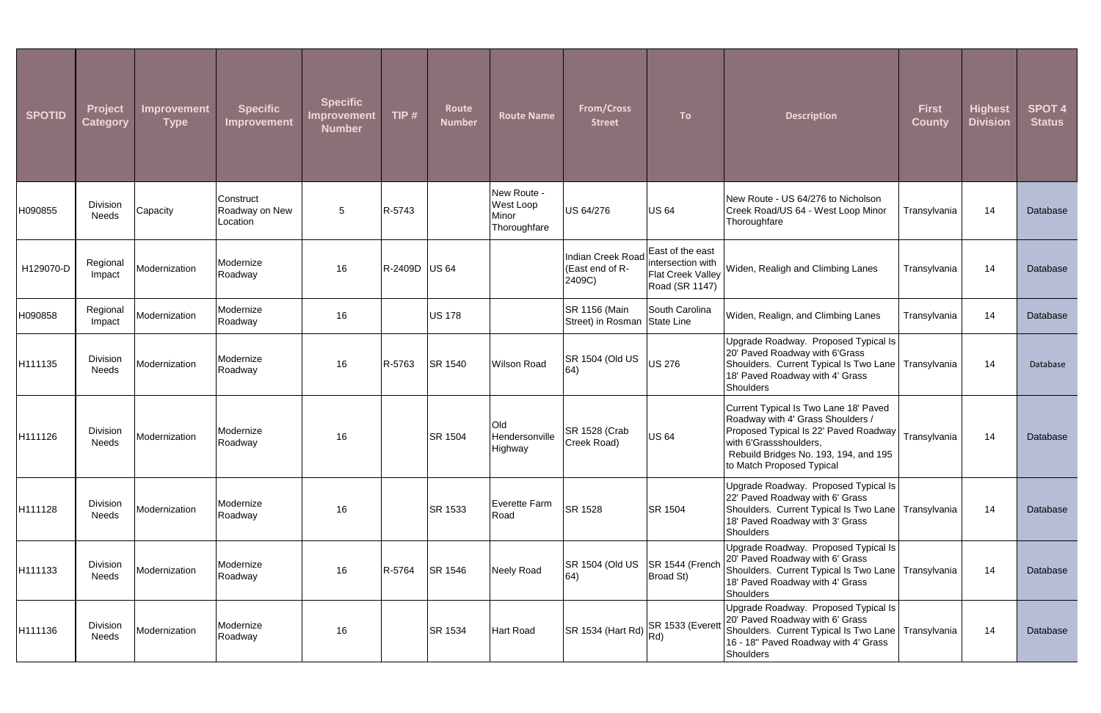| <b>SPOTID</b> | <b>Project</b><br><b>Category</b> | Improvement<br><b>Type</b> | <b>Specific</b><br>Improvement          | <b>Specific</b><br><b>Improvement</b><br><b>Number</b> | TIP #         | Route<br><b>Number</b> | <b>Route Name</b>                                 | <b>From/Cross</b><br><b>Street</b>             | <b>To</b>                                                                    | <b>Description</b>                                                                                                                                                                                                  | <b>First</b><br><b>County</b> | <b>Highest</b><br><b>Division</b> | <b>SPOT 4</b><br><b>Status</b> |
|---------------|-----------------------------------|----------------------------|-----------------------------------------|--------------------------------------------------------|---------------|------------------------|---------------------------------------------------|------------------------------------------------|------------------------------------------------------------------------------|---------------------------------------------------------------------------------------------------------------------------------------------------------------------------------------------------------------------|-------------------------------|-----------------------------------|--------------------------------|
| H090855       | Division<br><b>Needs</b>          | Capacity                   | Construct<br>Roadway on New<br>Location | $5\phantom{.0}$                                        | R-5743        |                        | New Route -<br>West Loop<br>Minor<br>Thoroughfare | US 64/276                                      | <b>US 64</b>                                                                 | New Route - US 64/276 to Nicholson<br>Creek Road/US 64 - West Loop Minor<br>Thoroughfare                                                                                                                            | Transylvania                  | 14                                | Database                       |
| H129070-D     | Regional<br>Impact                | Modernization              | Modernize<br>Roadway                    | 16                                                     | R-2409D US 64 |                        |                                                   | Indian Creek Road<br>(East end of R-<br>2409C) | East of the east<br>intersection with<br>Flat Creek Valley<br>Road (SR 1147) | Widen, Realigh and Climbing Lanes                                                                                                                                                                                   | Transylvania                  | 14                                | Database                       |
| H090858       | Regional<br>Impact                | Modernization              | Modernize<br>Roadway                    | 16                                                     |               | US 178                 |                                                   | SR 1156 (Main<br>Street) in Rosman             | South Carolina<br>State Line                                                 | Widen, Realign, and Climbing Lanes                                                                                                                                                                                  | Transylvania                  | 14                                | Database                       |
| H111135       | Division<br><b>Needs</b>          | Modernization              | Modernize<br>Roadway                    | 16                                                     | R-5763        | SR 1540                | <b>Wilson Road</b>                                | SR 1504 (Old US<br>64)                         | <b>US 276</b>                                                                | Upgrade Roadway. Proposed Typical Is<br>20' Paved Roadway with 6'Grass<br>Shoulders. Current Typical Is Two Lane   Transylvania<br>18' Paved Roadway with 4' Grass<br>Shoulders                                     |                               | 14                                | Database                       |
| H111126       | Division<br>Needs                 | Modernization              | Modernize<br>Roadway                    | 16                                                     |               | <b>SR 1504</b>         | Old<br>Hendersonville<br>Highway                  | <b>SR 1528 (Crab</b><br>Creek Road)            | <b>US 64</b>                                                                 | Current Typical Is Two Lane 18' Paved<br>Roadway with 4' Grass Shoulders /<br>Proposed Typical Is 22' Paved Roadway<br>with 6'Grassshoulders,<br>Rebuild Bridges No. 193, 194, and 195<br>to Match Proposed Typical | Transylvania                  | 14                                | Database                       |
| H111128       | Division<br><b>Needs</b>          | Modernization              | Modernize<br>Roadway                    | 16                                                     |               | SR 1533                | Everette Farm<br>Road                             | SR 1528                                        | <b>SR 1504</b>                                                               | Upgrade Roadway. Proposed Typical Is<br>22' Paved Roadway with 6' Grass<br>Shoulders. Current Typical Is Two Lane   Transylvania<br>18' Paved Roadway with 3' Grass<br><b>Shoulders</b>                             |                               | 14                                | Database                       |
| H111133       | Division<br><b>Needs</b>          | Modernization              | Modernize<br>Roadway                    | 16                                                     | R-5764        | SR 1546                | Neely Road                                        | SR 1504 (Old US<br>64)                         | SR 1544 (French<br><b>Broad St)</b>                                          | Upgrade Roadway. Proposed Typical Is<br>20' Paved Roadway with 6' Grass<br>Shoulders. Current Typical Is Two Lane   Transylvania<br>18' Paved Roadway with 4' Grass<br><b>Shoulders</b>                             |                               | 14                                | Database                       |
| H111136       | Division<br>Needs                 | Modernization              | Modernize<br>Roadway                    | 16                                                     |               | <b>SR 1534</b>         | <b>Hart Road</b>                                  | SR 1534 (Hart Rd) SR 1533 (Everett             |                                                                              | Upgrade Roadway. Proposed Typical Is<br>20' Paved Roadway with 6' Grass<br>Shoulders. Current Typical Is Two Lane   Transylvania<br>16 - 18" Paved Roadway with 4' Grass<br><b>Shoulders</b>                        |                               | 14                                | <b>Database</b>                |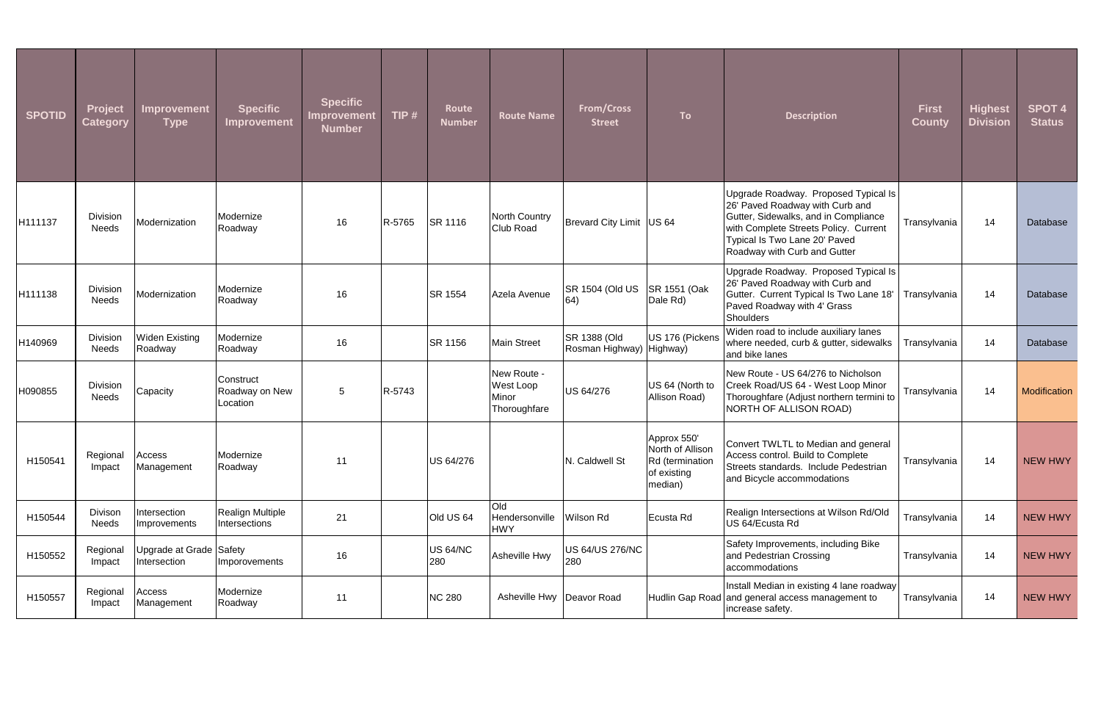| <b>SPOTID</b> | <b>Project</b><br><b>Category</b> | Improvement<br>Type                     | <b>Specific</b><br>Improvement          | <b>Specific</b><br><b>Improvement</b><br><b>Number</b> | TIP $#$ | Route<br><b>Number</b> | <b>Route Name</b>                                 | <b>From/Cross</b><br><b>Street</b>       | <b>To</b>                                                                    | <b>Description</b>                                                                                                                                                                                                        | <b>First</b><br><b>County</b> | <b>Highest</b><br><b>Division</b> | <b>SPOT 4</b><br><b>Status</b> |
|---------------|-----------------------------------|-----------------------------------------|-----------------------------------------|--------------------------------------------------------|---------|------------------------|---------------------------------------------------|------------------------------------------|------------------------------------------------------------------------------|---------------------------------------------------------------------------------------------------------------------------------------------------------------------------------------------------------------------------|-------------------------------|-----------------------------------|--------------------------------|
| H111137       | Division<br><b>Needs</b>          | Modernization                           | Modernize<br>Roadway                    | 16                                                     | R-5765  | SR 1116                | North Country<br><b>Club Road</b>                 | Brevard City Limit   US 64               |                                                                              | Upgrade Roadway. Proposed Typical Is<br>26' Paved Roadway with Curb and<br>Gutter, Sidewalks, and in Compliance<br>with Complete Streets Policy. Current<br>Typical Is Two Lane 20' Paved<br>Roadway with Curb and Gutter | Transylvania                  | 14                                | Database                       |
| H111138       | Division<br><b>Needs</b>          | Modernization                           | Modernize<br>Roadway                    | 16                                                     |         | SR 1554                | Azela Avenue                                      | SR 1504 (Old US<br>$ 64\rangle$          | SR 1551 (Oak<br>Dale Rd)                                                     | Upgrade Roadway. Proposed Typical Is<br>26' Paved Roadway with Curb and<br>Gutter. Current Typical Is Two Lane 18'<br>Paved Roadway with 4' Grass<br><b>Shoulders</b>                                                     | Transylvania                  | 14                                | Database                       |
| H140969       | Division<br>Needs                 | <b>Widen Existing</b><br>Roadway        | Modernize<br>Roadway                    | 16                                                     |         | <b>SR 1156</b>         | <b>Main Street</b>                                | SR 1388 (Old<br>Rosman Highway) Highway) | US 176 (Pickens                                                              | Widen road to include auxiliary lanes<br>where needed, curb & gutter, sidewalks<br>and bike lanes                                                                                                                         | Transylvania                  | 14                                | Database                       |
| H090855       | Division<br><b>Needs</b>          | Capacity                                | Construct<br>Roadway on New<br>Location | $5\phantom{.0}$                                        | R-5743  |                        | New Route -<br>West Loop<br>Minor<br>Thoroughfare | US 64/276                                | US 64 (North to<br>Allison Road)                                             | New Route - US 64/276 to Nicholson<br>Creek Road/US 64 - West Loop Minor<br>Thoroughfare (Adjust northern termini to<br>NORTH OF ALLISON ROAD)                                                                            | Transylvania                  | 14                                | Modification                   |
| H150541       | Regional<br>Impact                | Access<br>Management                    | Modernize<br>Roadway                    | 11                                                     |         | US 64/276              |                                                   | N. Caldwell St                           | Approx 550'<br>North of Allison<br>Rd (termination<br>of existing<br>median) | Convert TWLTL to Median and general<br>Access control. Build to Complete<br>Streets standards. Include Pedestrian<br>and Bicycle accommodations                                                                           | Transylvania                  | 14                                | <b>NEW HWY</b>                 |
| H150544       | Divison<br>Needs                  | Intersection<br>Improvements            | Realign Multiple<br>Intersections       | 21                                                     |         | Old US 64              | Old<br>Hendersonville<br><b>HWY</b>               | <b>Wilson Rd</b>                         | Ecusta Rd                                                                    | Realign Intersections at Wilson Rd/Old<br>US 64/Ecusta Rd                                                                                                                                                                 | Transylvania                  | 14                                | NEW HWY                        |
| H150552       | Regional<br>Impact                | Upgrade at Grade Safety<br>Intersection | <b>Imporovements</b>                    | 16                                                     |         | <b>US 64/NC</b><br>280 | Asheville Hwy                                     | US 64/US 276/NC<br>280                   |                                                                              | Safety Improvements, including Bike<br>and Pedestrian Crossing<br>accommodations                                                                                                                                          | Transylvania                  | 14                                | <b>NEW HWY</b>                 |
| H150557       | Regional<br>Impact                | Access<br>Management                    | Modernize<br>Roadway                    | 11                                                     |         | <b>NC 280</b>          | Asheville Hwy                                     | Deavor Road                              |                                                                              | Install Median in existing 4 lane roadway<br>Hudlin Gap Road and general access management to<br>increase safety.                                                                                                         | Transylvania                  | 14                                | <b>NEW HWY</b>                 |